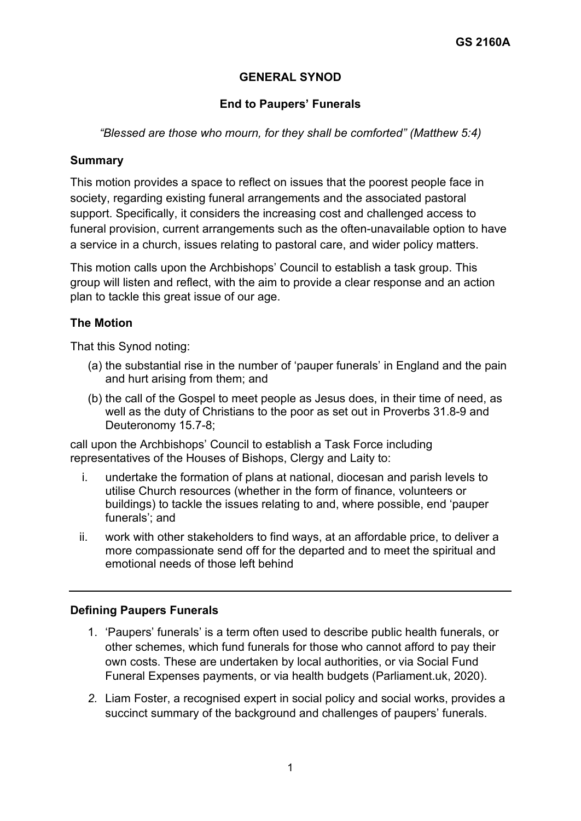# **GENERAL SYNOD**

## **End to Paupers' Funerals**

### *"Blessed are those who mourn, for they shall be comforted" (Matthew 5:4)*

### **Summary**

This motion provides a space to reflect on issues that the poorest people face in society, regarding existing funeral arrangements and the associated pastoral support. Specifically, it considers the increasing cost and challenged access to funeral provision, current arrangements such as the often-unavailable option to have a service in a church, issues relating to pastoral care, and wider policy matters.

This motion calls upon the Archbishops' Council to establish a task group. This group will listen and reflect, with the aim to provide a clear response and an action plan to tackle this great issue of our age.

## **The Motion**

That this Synod noting:

- (a) the substantial rise in the number of 'pauper funerals' in England and the pain and hurt arising from them; and
- (b) the call of the Gospel to meet people as Jesus does, in their time of need, as well as the duty of Christians to the poor as set out in Proverbs 31.8-9 and Deuteronomy 15.7-8;

call upon the Archbishops' Council to establish a Task Force including representatives of the Houses of Bishops, Clergy and Laity to:

- i. undertake the formation of plans at national, diocesan and parish levels to utilise Church resources (whether in the form of finance, volunteers or buildings) to tackle the issues relating to and, where possible, end 'pauper funerals'; and
- ii. work with other stakeholders to find ways, at an affordable price, to deliver a more compassionate send off for the departed and to meet the spiritual and emotional needs of those left behind

#### **Defining Paupers Funerals**

- 1. 'Paupers' funerals' is a term often used to describe public health funerals, or other schemes, which fund funerals for those who cannot afford to pay their own costs. These are undertaken by local authorities, or via Social Fund Funeral Expenses payments, or via health budgets (Parliament.uk, 2020).
- *2.* Liam Foster, a recognised expert in social policy and social works, provides a succinct summary of the background and challenges of paupers' funerals.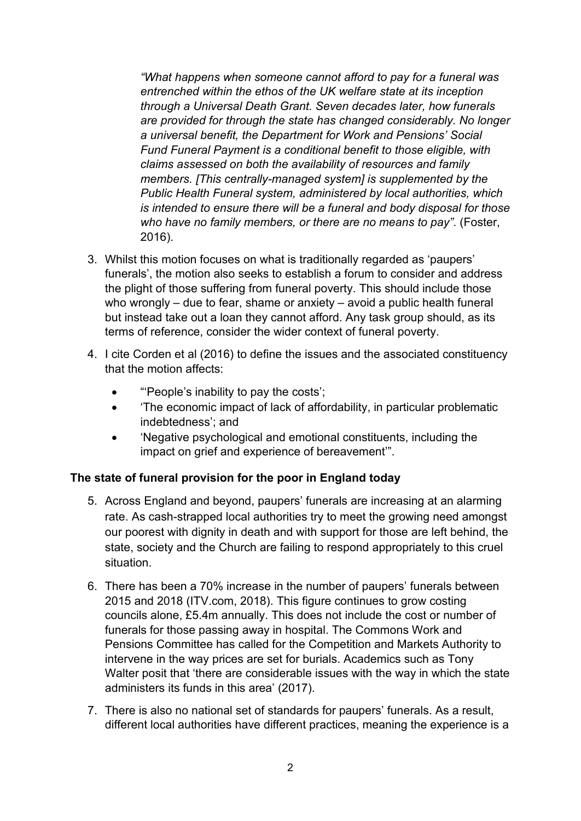*"What happens when someone cannot afford to pay for a funeral was entrenched within the ethos of the UK welfare state at its inception through a Universal Death Grant. Seven decades later, how funerals are provided for through the state has changed considerably. No longer a universal benefit, the Department for Work and Pensions' Social Fund Funeral Payment is a conditional benefit to those eligible, with claims assessed on both the availability of resources and family members. [This centrally-managed system] is supplemented by the Public Health Funeral system, administered by local authorities, which is intended to ensure there will be a funeral and body disposal for those who have no family members, or there are no means to pay"*. (Foster, 2016).

- 3. Whilst this motion focuses on what is traditionally regarded as 'paupers' funerals', the motion also seeks to establish a forum to consider and address the plight of those suffering from funeral poverty. This should include those who wrongly – due to fear, shame or anxiety – avoid a public health funeral but instead take out a loan they cannot afford. Any task group should, as its terms of reference, consider the wider context of funeral poverty.
- 4. I cite Corden et al (2016) to define the issues and the associated constituency that the motion affects:
	- "'People's inability to pay the costs';
	- 'The economic impact of lack of affordability, in particular problematic indebtedness'; and
	- 'Negative psychological and emotional constituents, including the impact on grief and experience of bereavement'".

## **The state of funeral provision for the poor in England today**

- 5. Across England and beyond, paupers' funerals are increasing at an alarming rate. As cash-strapped local authorities try to meet the growing need amongst our poorest with dignity in death and with support for those are left behind, the state, society and the Church are failing to respond appropriately to this cruel situation.
- 6. There has been a 70% increase in the number of paupers' funerals between 2015 and 2018 (ITV.com, 2018). This figure continues to grow costing councils alone, £5.4m annually. This does not include the cost or number of funerals for those passing away in hospital. The Commons Work and Pensions Committee has called for the Competition and Markets Authority to intervene in the way prices are set for burials. Academics such as Tony Walter posit that 'there are considerable issues with the way in which the state administers its funds in this area' (2017).
- 7. There is also no national set of standards for paupers' funerals. As a result, different local authorities have different practices, meaning the experience is a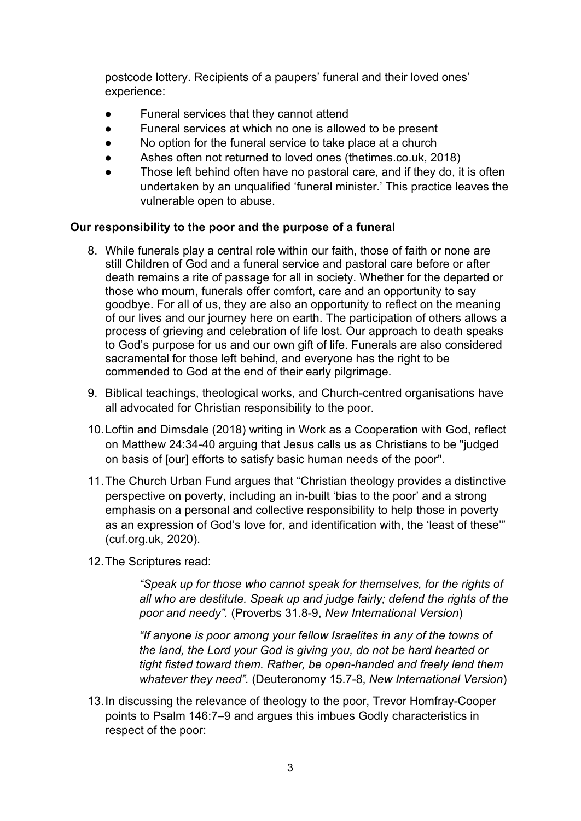postcode lottery. Recipients of a paupers' funeral and their loved ones' experience:

- Funeral services that they cannot attend
- Funeral services at which no one is allowed to be present
- No option for the funeral service to take place at a church
- Ashes often not returned to loved ones (thetimes.co.uk, 2018)
- Those left behind often have no pastoral care, and if they do, it is often undertaken by an unqualified 'funeral minister.' This practice leaves the vulnerable open to abuse.

### **Our responsibility to the poor and the purpose of a funeral**

- 8. While funerals play a central role within our faith, those of faith or none are still Children of God and a funeral service and pastoral care before or after death remains a rite of passage for all in society. Whether for the departed or those who mourn, funerals offer comfort, care and an opportunity to say goodbye. For all of us, they are also an opportunity to reflect on the meaning of our lives and our journey here on earth. The participation of others allows a process of grieving and celebration of life lost. Our approach to death speaks to God's purpose for us and our own gift of life. Funerals are also considered sacramental for those left behind, and everyone has the right to be commended to God at the end of their early pilgrimage.
- 9. Biblical teachings, theological works, and Church-centred organisations have all advocated for Christian responsibility to the poor.
- 10.Loftin and Dimsdale (2018) writing in Work as a Cooperation with God, reflect on Matthew 24:34-40 arguing that Jesus calls us as Christians to be "judged on basis of [our] efforts to satisfy basic human needs of the poor".
- 11.The Church Urban Fund argues that "Christian theology provides a distinctive perspective on poverty, including an in-built 'bias to the poor' and a strong emphasis on a personal and collective responsibility to help those in poverty as an expression of God's love for, and identification with, the 'least of these'" (cuf.org.uk, 2020).
- 12.The Scriptures read:

*"Speak up for those who cannot speak for themselves, for the rights of all who are destitute. Speak up and judge fairly; defend the rights of the poor and needy".* (Proverbs 31.8-9, *New International Version*)

*"If anyone is poor among your fellow Israelites in any of the towns of the land, the Lord your God is giving you, do not be hard hearted or tight fisted toward them. Rather, be open-handed and freely lend them whatever they need".* (Deuteronomy 15.7-8, *New International Version*)

13.In discussing the relevance of theology to the poor, Trevor Homfray-Cooper points to Psalm 146:7–9 and argues this imbues Godly characteristics in respect of the poor: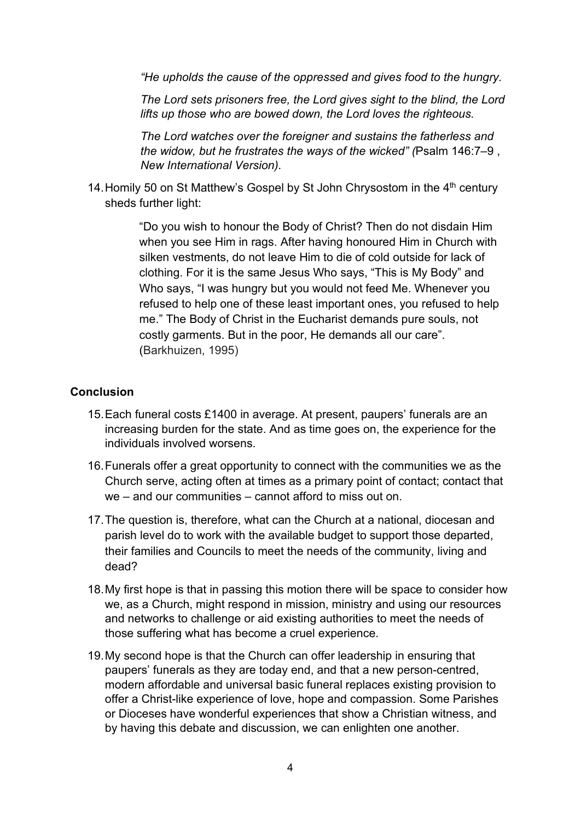*"He upholds the cause of the oppressed and gives food to the hungry.*

*The Lord sets prisoners free, the Lord gives sight to the blind, the Lord lifts up those who are bowed down, the Lord loves the righteous.*

*The Lord watches over the foreigner and sustains the fatherless and the widow, but he frustrates the ways of the wicked" (*Psalm 146:7–9 , *New International Version).*

14. Homily 50 on St Matthew's Gospel by St John Chrysostom in the 4<sup>th</sup> century sheds further light:

> "Do you wish to honour the Body of Christ? Then do not disdain Him when you see Him in rags. After having honoured Him in Church with silken vestments, do not leave Him to die of cold outside for lack of clothing. For it is the same Jesus Who says, "This is My Body" and Who says, "I was hungry but you would not feed Me. Whenever you refused to help one of these least important ones, you refused to help me." The Body of Christ in the Eucharist demands pure souls, not costly garments. But in the poor, He demands all our care". (Barkhuizen, 1995)

### **Conclusion**

- 15.Each funeral costs £1400 in average. At present, paupers' funerals are an increasing burden for the state. And as time goes on, the experience for the individuals involved worsens.
- 16.Funerals offer a great opportunity to connect with the communities we as the Church serve, acting often at times as a primary point of contact; contact that we – and our communities – cannot afford to miss out on.
- 17.The question is, therefore, what can the Church at a national, diocesan and parish level do to work with the available budget to support those departed, their families and Councils to meet the needs of the community, living and dead?
- 18.My first hope is that in passing this motion there will be space to consider how we, as a Church, might respond in mission, ministry and using our resources and networks to challenge or aid existing authorities to meet the needs of those suffering what has become a cruel experience.
- 19.My second hope is that the Church can offer leadership in ensuring that paupers' funerals as they are today end, and that a new person-centred, modern affordable and universal basic funeral replaces existing provision to offer a Christ-like experience of love, hope and compassion. Some Parishes or Dioceses have wonderful experiences that show a Christian witness, and by having this debate and discussion, we can enlighten one another.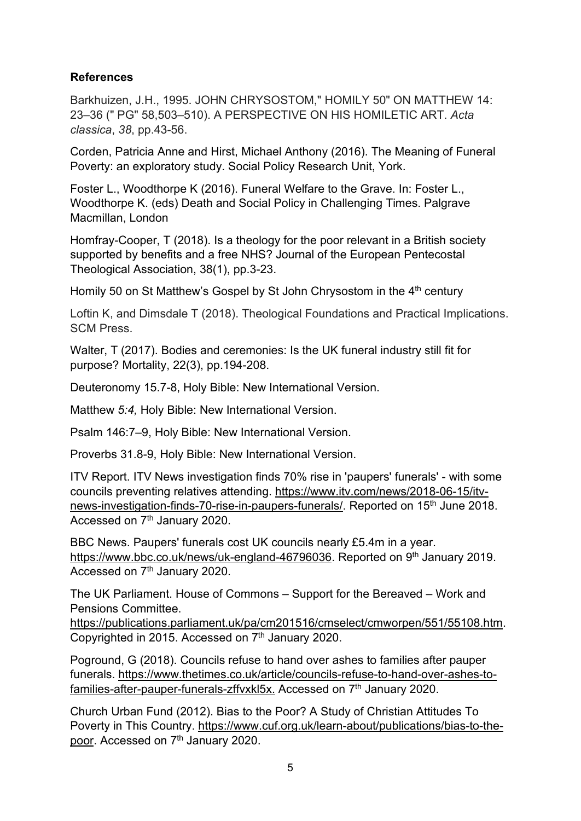# **References**

Barkhuizen, J.H., 1995. JOHN CHRYSOSTOM," HOMILY 50" ON MATTHEW 14: 23–36 (" PG" 58,503–510). A PERSPECTIVE ON HIS HOMILETIC ART. *Acta classica*, *38*, pp.43-56.

Corden, Patricia Anne and Hirst, Michael Anthony (2016). The Meaning of Funeral Poverty: an exploratory study. Social Policy Research Unit, York.

Foster L., Woodthorpe K (2016). Funeral Welfare to the Grave. In: Foster L., Woodthorpe K. (eds) Death and Social Policy in Challenging Times. Palgrave Macmillan, London

Homfray-Cooper, T (2018). Is a theology for the poor relevant in a British society supported by benefits and a free NHS? Journal of the European Pentecostal Theological Association, 38(1), pp.3-23.

Homily 50 on St Matthew's Gospel by St John Chrysostom in the 4<sup>th</sup> century

Loftin K, and Dimsdale T (2018). Theological Foundations and Practical Implications. SCM Press.

Walter, T (2017). Bodies and ceremonies: Is the UK funeral industry still fit for purpose? Mortality, 22(3), pp.194-208.

Deuteronomy 15.7-8, Holy Bible: New International Version.

Matthew *5:4,* Holy Bible: New International Version.

Psalm 146:7–9, Holy Bible: New International Version.

Proverbs 31.8-9, Holy Bible: New International Version.

ITV Report. ITV News investigation finds 70% rise in 'paupers' funerals' - with some councils preventing relatives attending. [https://www.itv.com/news/2018-06-15/itv](https://www.itv.com/news/2018-06-15/itv-news-investigation-finds-70-rise-in-paupers-funerals/)[news-investigation-finds-70-rise-in-paupers-funerals/.](https://www.itv.com/news/2018-06-15/itv-news-investigation-finds-70-rise-in-paupers-funerals/) Reported on 15<sup>th</sup> June 2018. Accessed on 7<sup>th</sup> January 2020.

BBC News. Paupers' funerals cost UK councils nearly £5.4m in a year. [https://www.bbc.co.uk/news/uk-england-46796036.](https://www.bbc.co.uk/news/uk-england-46796036) Reported on 9<sup>th</sup> January 2019. Accessed on 7<sup>th</sup> January 2020.

The UK Parliament. House of Commons – Support for the Bereaved – Work and Pensions Committee.

[https://publications.parliament.uk/pa/cm201516/cmselect/cmworpen/551/55108.htm.](https://publications.parliament.uk/pa/cm201516/cmselect/cmworpen/551/55108.htm) Copyrighted in 2015. Accessed on 7<sup>th</sup> January 2020.

Poground, G (2018). Councils refuse to hand over ashes to families after pauper funerals. [https://www.thetimes.co.uk/article/councils-refuse-to-hand-over-ashes-to](https://www.thetimes.co.uk/article/councils-refuse-to-hand-over-ashes-to-families-after-pauper-funerals-zffvxkl5x)[families-after-pauper-funerals-zffvxkl5x.](https://www.thetimes.co.uk/article/councils-refuse-to-hand-over-ashes-to-families-after-pauper-funerals-zffvxkl5x) Accessed on 7th January 2020.

Church Urban Fund (2012). Bias to the Poor? A Study of Christian Attitudes To Poverty in This Country. [https://www.cuf.org.uk/learn-about/publications/bias-to-the](https://www.cuf.org.uk/learn-about/publications/bias-to-the-poor)[poor.](https://www.cuf.org.uk/learn-about/publications/bias-to-the-poor) Accessed on 7<sup>th</sup> January 2020.